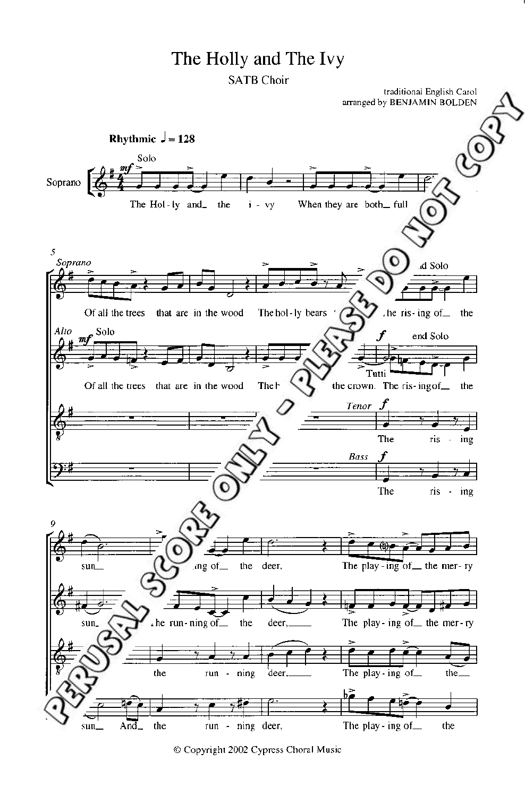## The Holly and The Ivy

SATB Choir



© Copyright 2002 Cypress Choral Music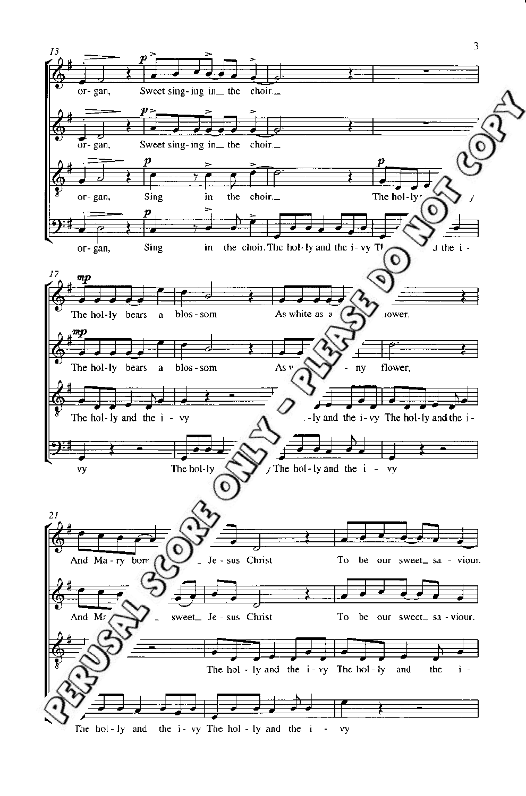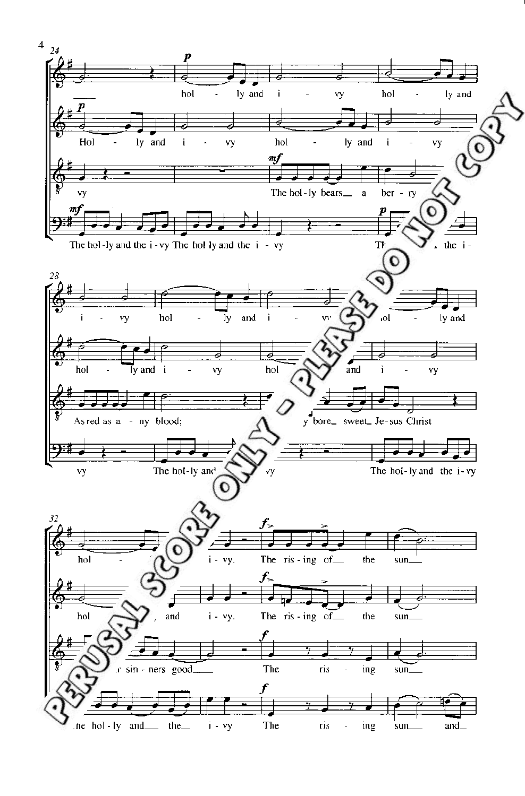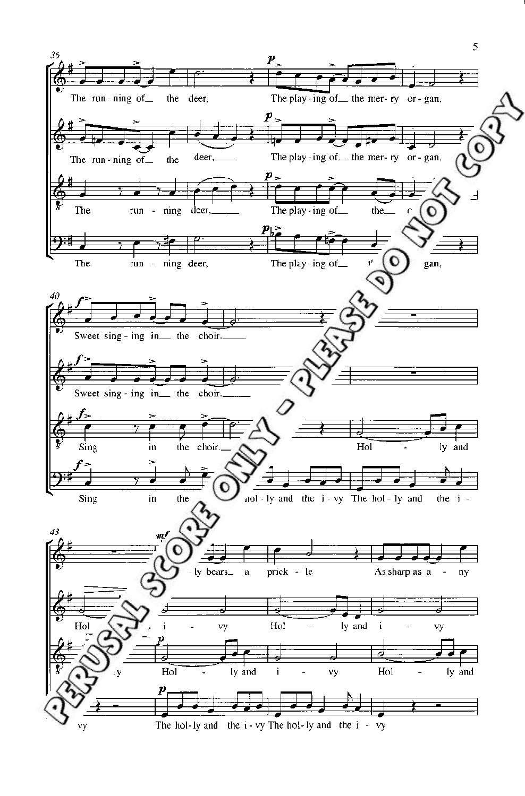

 $\overline{5}$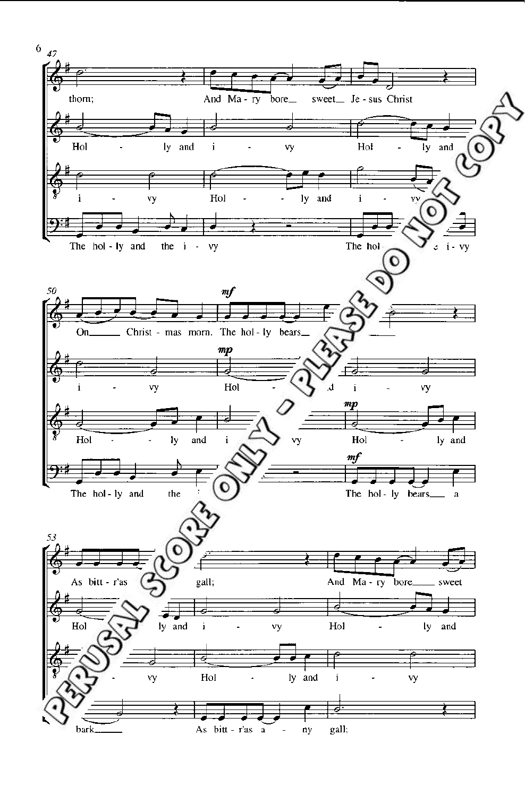